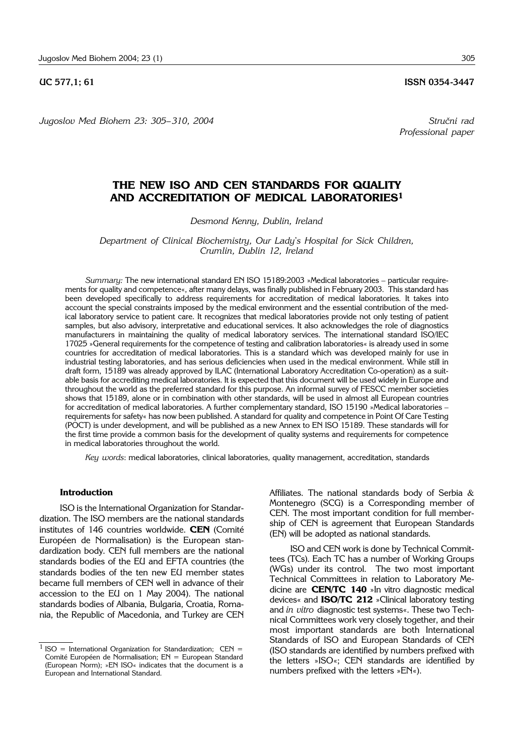*Jugoslov Med Biohem 23: 305– 310, 2004 Stru~ni rad*

# **THE NEW ISO AND CEN STANDARDS FOR QUALITY AND ACCREDITATION OF MEDICAL LABORATORIES1**

*Desmond Kenny, Dublin, Ireland*

*Department of Clinical Biochemistry, Our Lady*'*s Hospital for Sick Children, Crumlin, Dublin 12, Ireland*

*Summary:* The new international standard EN ISO 15189:2003 »Medical laboratories – particular requirements for quality and competence«, after many delays, was finally published in February 2003. This standard has been developed specifically to address requirements for accreditation of medical laboratories. It takes into account the special constraints imposed by the medical environment and the essential contribution of the medical laboratory service to patient care. It recognizes that medical laboratories provide not only testing of patient samples, but also advisory, interpretative and educational services. It also acknowledges the role of diagnostics manufacturers in maintaining the quality of medical laboratory services. The international standard ISO/IEC 17025 »General requirements for the competence of testing and calibration laboratories« is already used in some countries for accreditation of medical laboratories. This is a standard which was developed mainly for use in industrial testing laboratories, and has serious deficiencies when used in the medical environment. While still in draft form, 15189 was already approved by ILAC (International Laboratory Accreditation Co-operation) as a suitable basis for accrediting medical laboratories. It is expected that this document will be used widely in Europe and throughout the world as the preferred standard for this purpose. An informal survey of FESCC member societies shows that 15189, alone or in combination with other standards, will be used in almost all European countries for accreditation of medical laboratories. A further complementary standard, ISO 15190 »Medical laboratories – requirements for safety« has now been published. A standard for quality and competence in Point Of Care Testing (POCT) is under development, and will be published as a new Annex to EN ISO 15189. These standards will for the first time provide a common basis for the development of quality systems and requirements for competence in medical laboratories throughout the world.

*Key words*: medical laboratories, clinical laboratories, quality management, accreditation, standards

#### **Introduction**

ISO is the International Organization for Standardization. The ISO members are the national standards institutes of 146 countries worldwide. **CEN** (Comité Européen de Normalisation) is the European standardization body. CEN full members are the national standards bodies of the EU and EFTA countries (the standards bodies of the ten new EU member states became full members of CEN well in advance of their accession to the EU on 1 May 2004). The national standards bodies of Albania, Bulgaria, Croatia, Romania, the Republic of Macedonia, and Turkey are CEN Affiliates. The national standards body of Serbia & Montenegro (SCG) is a Corresponding member of CEN. The most important condition for full membership of CEN is agreement that European Standards (EN) will be adopted as national standards.

ISO and CEN work is done by Technical Committees (TCs). Each TC has a number of Working Groups (WGs) under its control. The two most important Technical Committees in relation to Laboratory Medicine are **CEN/TC 140** »In vitro diagnostic medical devices« and **ISO/TC 212** »Clinical laboratory testing and *in vitro* diagnostic test systems«. These two Technical Committees work very closely together, and their most important standards are both International Standards of ISO and European Standards of CEN (ISO standards are identified by numbers prefixed with the letters »ISO«; CEN standards are identified by numbers prefixed with the letters »EN«).

*Professional paper*

<sup>&</sup>lt;sup>1</sup> ISO = International Organization for Standardization; CEN = Comité Européen de Normalisation; EN = European Standard (European Norm); »EN ISO« indicates that the document is a European and International Standard.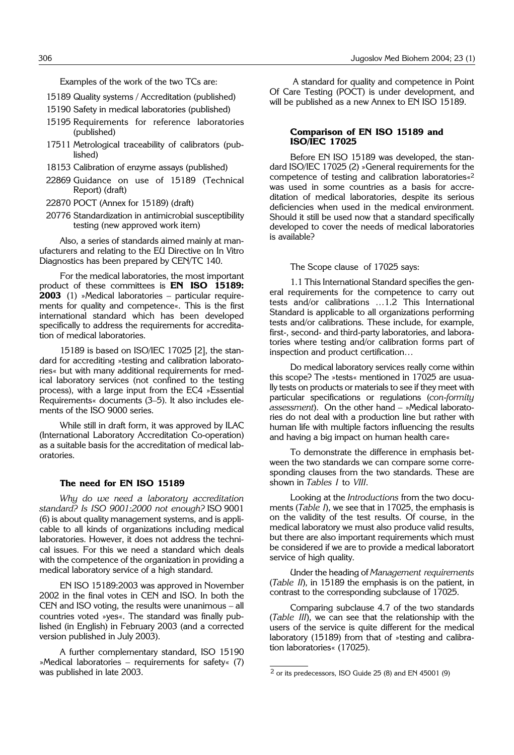Examples of the work of the two TCs are:

· 15189 Quality systems / Accreditation (published)

- 15190 Safety in medical laboratories (published)
- 15195 Requirements for reference laboratories (published)
- 17511 Metrological traceability of calibrators (published)
- 18153 Calibration of enzyme assays (published)
- 22869 Guidance on use of 15189 (Technical Report) (draft)
- · 22870 POCT (Annex for 15189) (draft)
- 20776 Standardization in antimicrobial susceptibility testing (new approved work item)

Also, a series of standards aimed mainly at manufacturers and relating to the EU Directive on In Vitro Diagnostics has been prepared by CEN/TC 140.

For the medical laboratories, the most important product of these committees is **EN ISO 15189: 2003** (1) »Medical laboratories – particular requirements for quality and competence«. This is the first international standard which has been developed specifically to address the requirements for accreditation of medical laboratories.

15189 is based on ISO/IEC 17025 [2], the standard for accrediting »testing and calibration laboratories« but with many additional requirements for medical laboratory services (not confined to the testing process), with a large input from the EC4 »Essential Requirements« documents (3–5). It also includes elements of the ISO 9000 series.

While still in draft form, it was approved by ILAC (International Laboratory Accreditation Co-operation) as a suitable basis for the accreditation of medical laboratories.

#### **The need for EN ISO 15189**

*Why do we need a laboratory accreditation standard? Is ISO 9001:2000 not enough?* ISO 9001 (6) is about quality management systems, and is applicable to all kinds of organizations including medical laboratories. However, it does not address the technical issues. For this we need a standard which deals with the competence of the organization in providing a medical laboratory service of a high standard.

EN ISO 15189:2003 was approved in November 2002 in the final votes in CEN and ISO. In both the CEN and ISO voting, the results were unanimous – all countries voted »yes«. The standard was finally published (in English) in February 2003 (and a corrected version published in July 2003).

A further complementary standard, ISO 15190 »Medical laboratories – requirements for safety« (7) was published in late 2003.

A standard for quality and competence in Point Of Care Testing (POCT) is under development, and will be published as a new Annex to EN ISO 15189.

### **Comparison of EN ISO 15189 and ISO/IEC 17025**

Before EN ISO 15189 was developed, the standard ISO/IEC 17025 (2) »General requirements for the competence of testing and calibration laboratories«<sup>2</sup> was used in some countries as a basis for accreditation of medical laboratories, despite its serious deficiencies when used in the medical environment. Should it still be used now that a standard specifically developed to cover the needs of medical laboratories is available?

### The Scope clause of 17025 says:

1.1 This International Standard specifies the general requirements for the competence to carry out tests and/or calibrations …1.2 This International Standard is applicable to all organizations performing tests and/or calibrations. These include, for example, first-, second- and third-party laboratories, and laboratories where testing and/or calibration forms part of inspection and product certification…

Do medical laboratory services really come within this scope? The »tests« mentioned in 17025 are usually tests on products or materials to see if they meet with particular specifications or regulations (*con*-*formity assessment*). On the other hand – »Medical laboratories do not deal with a production line but rather with human life with multiple factors influencing the results and having a big impact on human health care«

To demonstrate the difference in emphasis between the two standards we can compare some corresponding clauses from the two standards. These are shown in *Tables I* to *VIII*.

Looking at the *Introductions* from the two documents (*Table I*), we see that in 17025, the emphasis is on the validity of the test results. Of course, in the medical laboratory we must also produce valid results, but there are also important requirements which must be considered if we are to provide a medical laboratort service of high quality.

Under the heading of *Management requirements* (*Table II*), in 15189 the emphasis is on the patient, in contrast to the corresponding subclause of 17025.

Comparing subclause 4.7 of the two standards (*Table III*), we can see that the relationship with the users of the service is quite different for the medical laboratory (15189) from that of »testing and calibration laboratories« (17025).

<sup>2</sup> or its predecessors, ISO Guide 25 (8) and EN 45001 (9)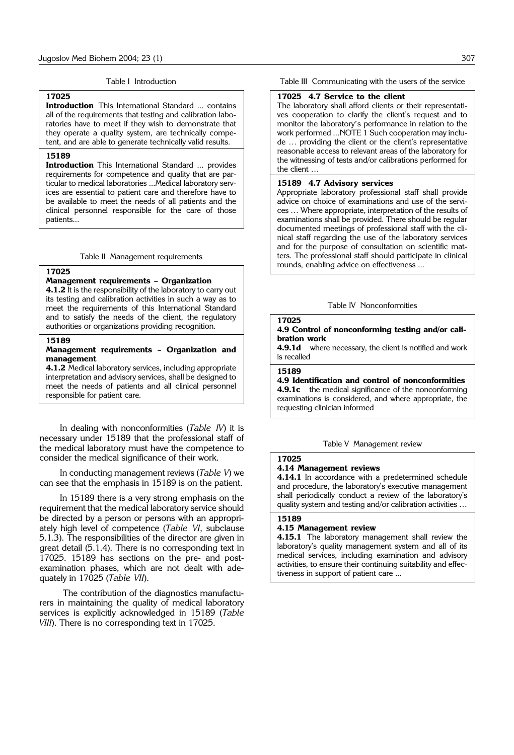#### Table I Introduction

# **17025**

**Introduction** This International Standard ... contains all of the requirements that testing and calibration laboratories have to meet if they wish to demonstrate that they operate a quality system, are technically competent, and are able to generate technically valid results.

#### **15189**

**Introduction** This International Standard ... provides requirements for competence and quality that are particular to medical laboratories ...Medical laboratory services are essential to patient care and therefore have to be available to meet the needs of all patients and the clinical personnel responsible for the care of those patients...

Table II Management requirements

## **17025**

### **Management requirements – Organization**

**4.1.2** It is the responsibility of the laboratory to carry out its testing and calibration activities in such a way as to meet the requirements of this International Standard and to satisfy the needs of the client, the regulatory authorities or organizations providing recognition.

## **15189**

## **Management requirements – Organization and management**

**4.1.2** Medical laboratory services, including appropriate interpretation and advisory services, shall be designed to meet the needs of patients and all clinical personnel responsible for patient care.

In dealing with nonconformities (*Table IV*) it is necessary under 15189 that the professional staff of the medical laboratory must have the competence to consider the medical significance of their work.

In conducting management reviews (*Table V*) we can see that the emphasis in 15189 is on the patient.

In 15189 there is a very strong emphasis on the requirement that the medical laboratory service should be directed by a person or persons with an appropriately high level of competence (*Table VI*, subclause 5.1.3). The responsibilities of the director are given in great detail (5.1.4). There is no corresponding text in 17025. 15189 has sections on the pre- and postexamination phases, which are not dealt with adequately in 17025 (*Table VII*).

The contribution of the diagnostics manufacturers in maintaining the quality of medical laboratory services is explicitly acknowledged in 15189 (*Table VIII*). There is no corresponding text in 17025.

Table III Communicating with the users of the service

### **17025 4.7 Service to the client**

The laboratory shall afford clients or their representatives cooperation to clarify the client's request and to monitor the laboratory's performance in relation to the work performed ...NOTE 1 Such cooperation may include … providing the client or the client's representative reasonable access to relevant areas of the laboratory for the witnessing of tests and/or calibrations performed for the client …

## **15189 4.7 Advisory services**

Appropriate laboratory professional staff shall provide advice on choice of examinations and use of the services … Where appropriate, interpretation of the results of examinations shall be provided. There should be regular documented meetings of professional staff with the clinical staff regarding the use of the laboratory services and for the purpose of consultation on scientific matters. The professional staff should participate in clinical rounds, enabling advice on effectiveness ...

## Table IV Nonconformities

# **17025**

## **4.9 Control of nonconforming testing and/or calibration work**

**4.9.1d** where necessary, the client is notified and work is recalled

**15189**

## **4.9 Identification and control of nonconformities**

**4.9.1c** the medical significance of the nonconforming examinations is considered, and where appropriate, the requesting clinician informed

Table V Management review

## **17025 4.14 Management reviews**

**4.14.1** In accordance with a predetermined schedule and procedure, the laboratory's executive management shall periodically conduct a review of the laboratory's quality system and testing and/or calibration activities …

#### **15189**

#### **4.15 Management review**

**4.15.1** The laboratory management shall review the laboratory's quality management system and all of its medical services, including examination and advisory activities, to ensure their continuing suitability and effectiveness in support of patient care ...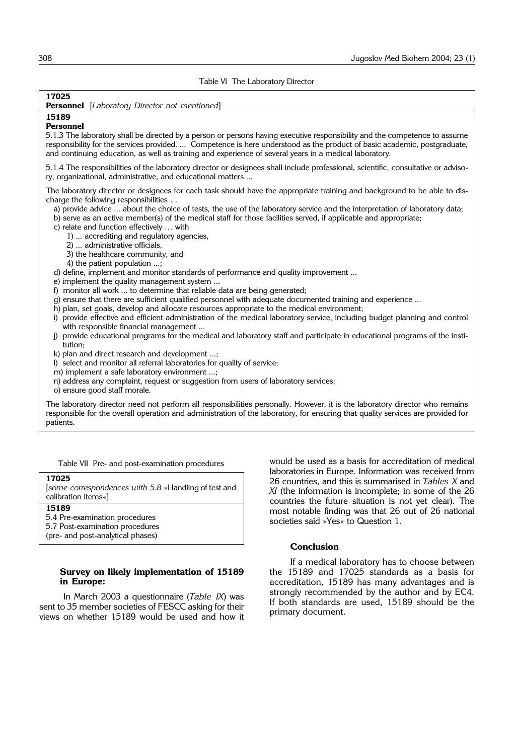| Table VI The Laboratory Director                                                                                                                                                                                                                                                                                                                                                                                                                                                                                                                                                                                                                                                                                                                                                                                                                                                                                                                                                                                                                                                                                                                                                                                                                                                                                                                                                                                                                                                                                                                                                                                                                             |                                                                                                                                                                                                                                                                     |
|--------------------------------------------------------------------------------------------------------------------------------------------------------------------------------------------------------------------------------------------------------------------------------------------------------------------------------------------------------------------------------------------------------------------------------------------------------------------------------------------------------------------------------------------------------------------------------------------------------------------------------------------------------------------------------------------------------------------------------------------------------------------------------------------------------------------------------------------------------------------------------------------------------------------------------------------------------------------------------------------------------------------------------------------------------------------------------------------------------------------------------------------------------------------------------------------------------------------------------------------------------------------------------------------------------------------------------------------------------------------------------------------------------------------------------------------------------------------------------------------------------------------------------------------------------------------------------------------------------------------------------------------------------------|---------------------------------------------------------------------------------------------------------------------------------------------------------------------------------------------------------------------------------------------------------------------|
| 17025<br><b>Personnel</b> [Laboratory Director not mentioned]                                                                                                                                                                                                                                                                                                                                                                                                                                                                                                                                                                                                                                                                                                                                                                                                                                                                                                                                                                                                                                                                                                                                                                                                                                                                                                                                                                                                                                                                                                                                                                                                |                                                                                                                                                                                                                                                                     |
| 15189<br>Personnel<br>and continuing education, as well as training and experience of several years in a medical laboratory.                                                                                                                                                                                                                                                                                                                                                                                                                                                                                                                                                                                                                                                                                                                                                                                                                                                                                                                                                                                                                                                                                                                                                                                                                                                                                                                                                                                                                                                                                                                                 | 5.1.3 The laboratory shall be directed by a person or persons having executive responsibility and the competence to assume<br>responsibility for the services provided.  Competence is here understood as the product of basic academic, postgraduate,              |
| ry, organizational, administrative, and educational matters                                                                                                                                                                                                                                                                                                                                                                                                                                                                                                                                                                                                                                                                                                                                                                                                                                                                                                                                                                                                                                                                                                                                                                                                                                                                                                                                                                                                                                                                                                                                                                                                  | 5.1.4 The responsibilities of the laboratory director or designees shall include professional, scientific, consultative or adviso-                                                                                                                                  |
| The laboratory director or designees for each task should have the appropriate training and background to be able to dis-<br>charge the following responsibilities<br>a) provide advice  about the choice of tests, the use of the laboratory service and the interpretation of laboratory data;<br>b) serve as an active member(s) of the medical staff for those facilities served, if applicable and appropriate;<br>c) relate and function effectively  with<br>1)  accrediting and regulatory agencies,<br>2)  administrative officials,<br>3) the healthcare community, and<br>4) the patient population ;<br>d) define, implement and monitor standards of performance and quality improvement<br>e) implement the quality management system<br>f) monitor all work  to determine that reliable data are being generated;<br>g) ensure that there are sufficient qualified personnel with adequate documented training and experience<br>h) plan, set goals, develop and allocate resources appropriate to the medical environment;<br>i) provide effective and efficient administration of the medical laboratory service, including budget planning and control<br>with responsible financial management<br>j) provide educational programs for the medical and laboratory staff and participate in educational programs of the insti-<br>tution:<br>k) plan and direct research and development ;<br>I) select and monitor all referral laboratories for quality of service;<br>m) implement a safe laboratory environment ;<br>n) address any complaint, request or suggestion from users of laboratory services;<br>o) ensure good staff morale. |                                                                                                                                                                                                                                                                     |
| The laboratory director need not perform all responsibilities personally. However, it is the laboratory director who remains<br>responsible for the overall operation and administration of the laboratory, for ensuring that quality services are provided for<br>patients.                                                                                                                                                                                                                                                                                                                                                                                                                                                                                                                                                                                                                                                                                                                                                                                                                                                                                                                                                                                                                                                                                                                                                                                                                                                                                                                                                                                 |                                                                                                                                                                                                                                                                     |
| Table VII Pre- and post-examination procedures<br>17025                                                                                                                                                                                                                                                                                                                                                                                                                                                                                                                                                                                                                                                                                                                                                                                                                                                                                                                                                                                                                                                                                                                                                                                                                                                                                                                                                                                                                                                                                                                                                                                                      | would be used as a basis for accreditation of medical<br>laboratories in Europe. Information was received from                                                                                                                                                      |
| [some correspondences with 5.8 »Handling of test and<br>calibration items«]                                                                                                                                                                                                                                                                                                                                                                                                                                                                                                                                                                                                                                                                                                                                                                                                                                                                                                                                                                                                                                                                                                                                                                                                                                                                                                                                                                                                                                                                                                                                                                                  | 26 countries, and this is summarised in Tables X and<br>XI (the information is incomplete; in some of the 26<br>countries the future situation is not yet clear). The<br>most notable finding was that 26 out of 26 national<br>societies said »Yes« to Question 1. |
| 15189<br>5.4 Pre-examination procedures<br>5.7 Post-examination procedures<br>(pre- and post-analytical phases)                                                                                                                                                                                                                                                                                                                                                                                                                                                                                                                                                                                                                                                                                                                                                                                                                                                                                                                                                                                                                                                                                                                                                                                                                                                                                                                                                                                                                                                                                                                                              |                                                                                                                                                                                                                                                                     |

## **Survey on likely implementation of 15189 in Europe:**

In March 2003 a questionnaire (*Table IX*) was sent to 35 member societies of FESCC asking for their views on whether 15189 would be used and how it

**Conclusion**

If a medical laboratory has to choose between the 15189 and 17025 standards as a basis for accreditation, 15189 has many advantages and is strongly recommended by the author and by EC4. If both standards are used, 15189 should be the primary document.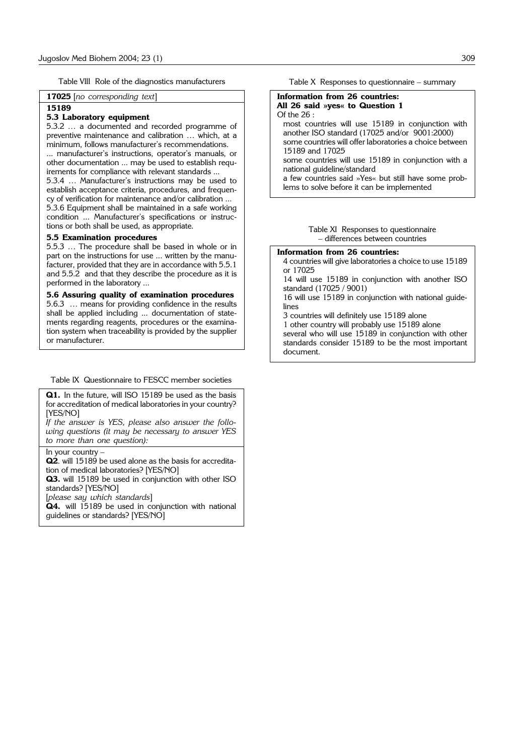Table VIII Role of the diagnostics manufacturers

**17025** [*no corresponding text*]

#### **15189**

#### **5.3 Laboratory equipment**

5.3.2 … a documented and recorded programme of preventive maintenance and calibration … which, at a minimum, follows manufacturer's recommendations. ... manufacturer's instructions, operator's manuals, or

other documentation ... may be used to establish requirements for compliance with relevant standards ...

5.3.4 … Manufacturer's instructions may be used to establish acceptance criteria, procedures, and frequency of verification for maintenance and/or calibration ... 5.3.6 Equipment shall be maintained in a safe working condition ... Manufacturer's specifications or instruc-

tions or both shall be used, as appropriate.

# **5.5 Examination procedures**

5.5.3 … The procedure shall be based in whole or in part on the instructions for use ... written by the manufacturer, provided that they are in accordance with 5.5.1 and 5.5.2 and that they describe the procedure as it is performed in the laboratory ...

#### **5.6 Assuring quality of examination procedures**

5.6.3 … means for providing confidence in the results shall be applied including ... documentation of statements regarding reagents, procedures or the examination system when traceability is provided by the supplier or manufacturer.

## Table IX Questionnaire to FESCC member societies

**Q1.** In the future, will ISO 15189 be used as the basis for accreditation of medical laboratories in your country? [YES/NO]

*If the answer is YES, please also answer the following questions (it may be necessary to answer YES to more than one question):* 

#### In your country –

**Q2**. will 15189 be used alone as the basis for accreditation of medical laboratories? [YES/NO]

**Q3.** will 15189 be used in conjunction with other ISO standards? [YES/NO]

[*please say which standards*]

**Q4.** will 15189 be used in conjunction with national guidelines or standards? [YES/NO]

Table X Responses to questionnaire – summary

#### **Information from 26 countries: All 26 said »yes« to Question 1** Of the 26 :

most countries will use 15189 in conjunction with another ISO standard (17025 and/or 9001:2000) some countries will offer laboratories a choice between 15189 and 17025

some countries will use 15189 in conjunction with a national guideline/standard a few countries said »Yes« but still have some prob-

lems to solve before it can be implemented

#### Table XI Responses to questionnaire – differences between countries

#### **Information from 26 countries:**

4 countries will give laboratories a choice to use 15189 or 17025

14 will use 15189 in conjunction with another ISO standard (17025 / 9001)

· 16 will use 15189 in conjunction with national guidelines

- 3 countries will definitely use 15189 alone
- · 1 other country will probably use 15189 alone several who will use 15189 in conjunction with other standards consider 15189 to be the most important document.